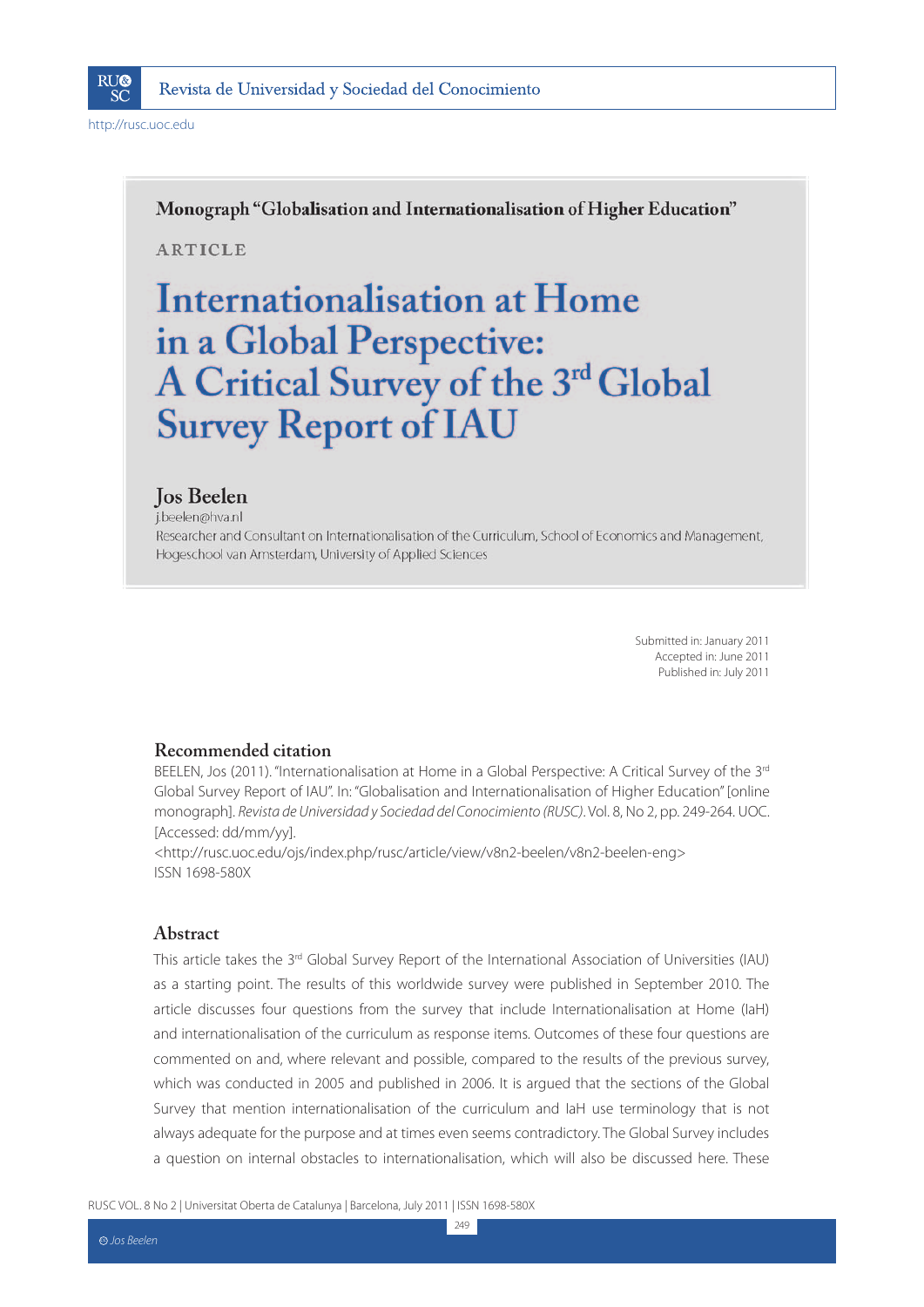

Monograph "Globalisation and Internationalisation of Higher Education"

**ARTICLE** 

# Internationalisation at Home in a Global Perspective: A Critical Survey of the 3rd Global **Survey Report of IAU**

### **Jos Beelen**

i.beelen@hva.nl Researcher and Consultant on Internationalisation of the Curriculum, School of Economics and Management, Hogeschool van Amsterdam, University of Applied Sciences

> Submitted in: January 2011 Accepted in: June 2011 Published in: July 2011

### **Recommended citation**

BEELEN, Jos (2011). "Internationalisation at Home in a Global Perspective: A Critical Survey of the 3rd Global Survey Report of IAU". In: "Globalisation and Internationalisation of Higher Education" [online monograph]. Revista de Universidad y Sociedad del Conocimiento (RUSC). Vol. 8, No 2, pp. 249-264. UOC. [Accessed: dd/mm/yy].

<http://rusc.uoc.edu/ojs/index.php/rusc/article/view/v8n2-beelen/v8n2-beelen-eng> ISSN 1698-580X

#### **Abstract**

This article takes the 3<sup>rd</sup> Global Survey Report of the International Association of Universities (IAU) as a starting point. The results of this worldwide survey were published in September 2010. The article discusses four questions from the survey that include Internationalisation at Home (IaH) and internationalisation of the curriculum as response items. Outcomes of these four questions are commented on and, where relevant and possible, compared to the results of the previous survey, which was conducted in 2005 and published in 2006. It is argued that the sections of the Global Survey that mention internationalisation of the curriculum and IaH use terminology that is not always adequate for the purpose and at times even seems contradictory. The Global Survey includes a question on internal obstacles to internationalisation, which will also be discussed here. These

249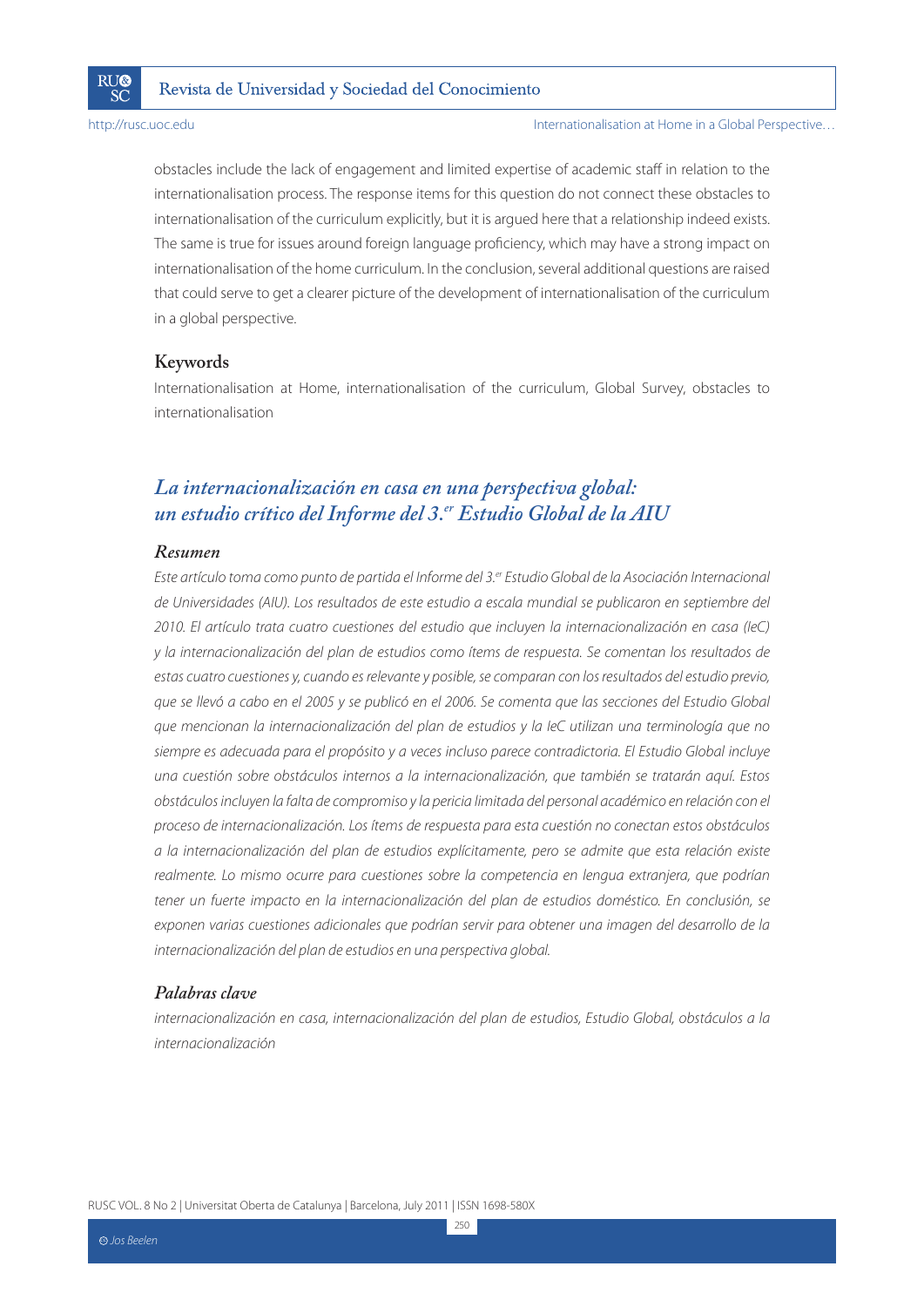

Internationalisation at Home in a Global Perspective…

obstacles include the lack of engagement and limited expertise of academic staff in relation to the internationalisation process. The response items for this question do not connect these obstacles to internationalisation of the curriculum explicitly, but it is argued here that a relationship indeed exists. The same is true for issues around foreign language proficiency, which may have a strong impact on internationalisation of the home curriculum. In the conclusion, several additional questions are raised that could serve to get a clearer picture of the development of internationalisation of the curriculum in a global perspective.

#### **Keywords**

Internationalisation at Home, internationalisation of the curriculum, Global Survey, obstacles to internationalisation

### *La internacionalización en casa en una perspectiva global: un estudio crítico del Informe del 3.er Estudio Global de la AIU*

#### *Resumen*

Este artículo toma como punto de partida el Informe del 3.<sup>er</sup> Estudio Global de la Asociación Internacional de Universidades (AIU). Los resultados de este estudio a escala mundial se publicaron en septiembre del 2010. El artículo trata cuatro cuestiones del estudio que incluyen la internacionalización en casa (IeC) y la internacionalización del plan de estudios como ítems de respuesta. Se comentan los resultados de estas cuatro cuestiones y, cuando es relevante y posible, se comparan con los resultados del estudio previo, que se llevó a cabo en el 2005 y se publicó en el 2006. Se comenta que las secciones del Estudio Global que mencionan la internacionalización del plan de estudios y la IeC utilizan una terminología que no siempre es adecuada para el propósito y a veces incluso parece contradictoria. El Estudio Global incluye una cuestión sobre obstáculos internos a la internacionalización, que también se tratarán aquí. Estos obstáculos incluyen la falta de compromiso y la pericia limitada del personal académico en relación con el proceso de internacionalización. Los ítems de respuesta para esta cuestión no conectan estos obstáculos a la internacionalización del plan de estudios explícitamente, pero se admite que esta relación existe realmente. Lo mismo ocurre para cuestiones sobre la competencia en lengua extranjera, que podrían tener un fuerte impacto en la internacionalización del plan de estudios doméstico. En conclusión, se exponen varias cuestiones adicionales que podrían servir para obtener una imagen del desarrollo de la internacionalización del plan de estudios en una perspectiva global.

#### *Palabras clave*

internacionalización en casa, internacionalización del plan de estudios, Estudio Global, obstáculos a la internacionalización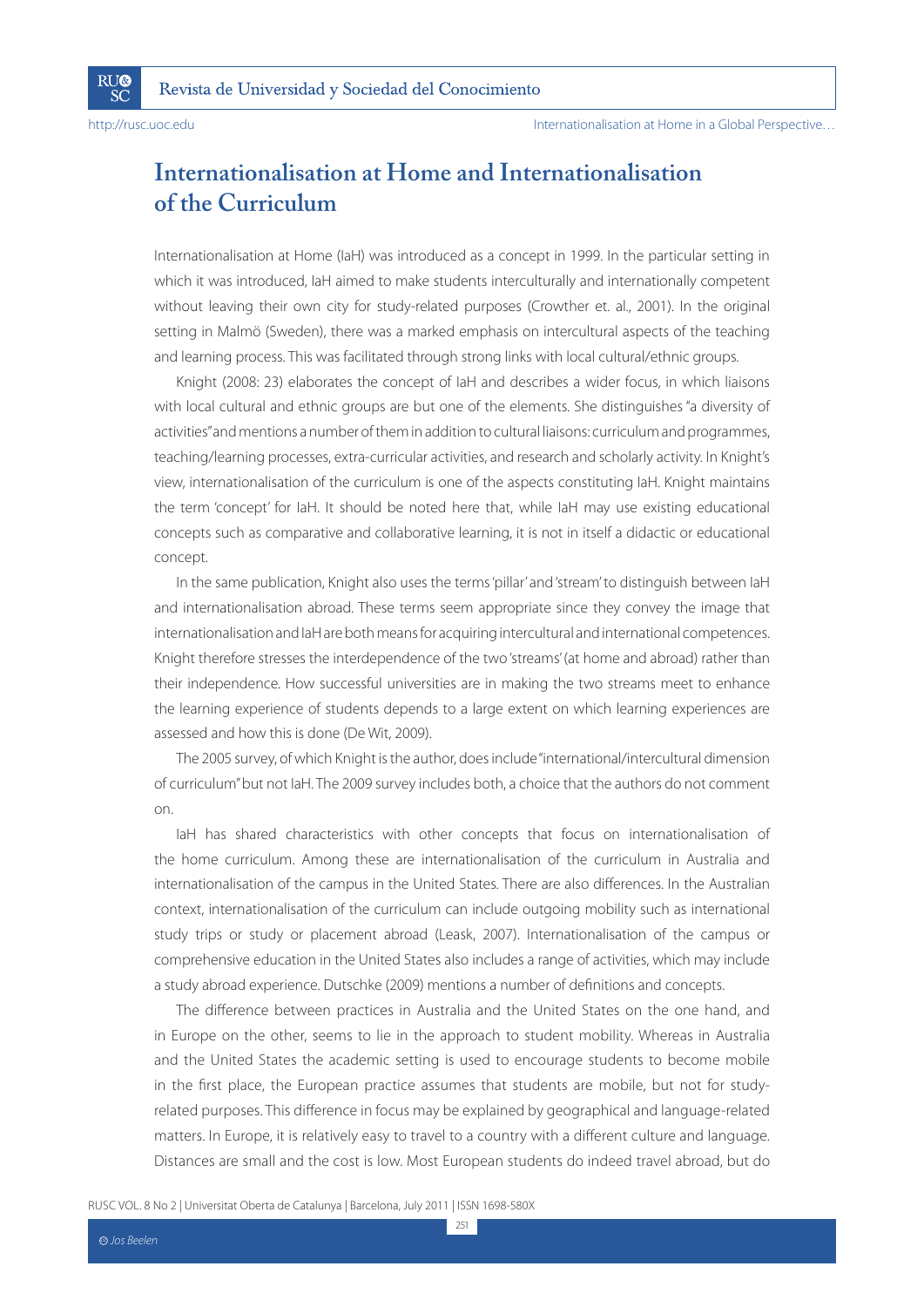**RU®** 

SČ

Internationalisation at Home in a Global Perspective…

### **Internationalisation at Home and Internationalisation of the Curriculum**

Internationalisation at Home (IaH) was introduced as a concept in 1999. In the particular setting in which it was introduced, IaH aimed to make students interculturally and internationally competent without leaving their own city for study-related purposes (Crowther et. al., 2001). In the original setting in Malmö (Sweden), there was a marked emphasis on intercultural aspects of the teaching and learning process. This was facilitated through strong links with local cultural/ethnic groups.

Knight (2008: 23) elaborates the concept of IaH and describes a wider focus, in which liaisons with local cultural and ethnic groups are but one of the elements. She distinguishes "a diversity of activities" and mentions a number of them in addition to cultural liaisons: curriculum and programmes, teaching/learning processes, extra-curricular activities, and research and scholarly activity. In Knight's view, internationalisation of the curriculum is one of the aspects constituting IaH. Knight maintains the term 'concept' for IaH. It should be noted here that, while IaH may use existing educational concepts such as comparative and collaborative learning, it is not in itself a didactic or educational concept.

In the same publication, Knight also uses the terms 'pillar' and 'stream' to distinguish between IaH and internationalisation abroad. These terms seem appropriate since they convey the image that internationalisation and IaH are both means for acquiring intercultural and international competences. Knight therefore stresses the interdependence of the two 'streams' (at home and abroad) rather than their independence. How successful universities are in making the two streams meet to enhance the learning experience of students depends to a large extent on which learning experiences are assessed and how this is done (De Wit, 2009).

The 2005 survey, of which Knight is the author, does include "international/intercultural dimension of curriculum" but not IaH. The 2009 survey includes both, a choice that the authors do not comment on.

IaH has shared characteristics with other concepts that focus on internationalisation of the home curriculum. Among these are internationalisation of the curriculum in Australia and internationalisation of the campus in the United States. There are also differences. In the Australian context, internationalisation of the curriculum can include outgoing mobility such as international study trips or study or placement abroad (Leask, 2007). Internationalisation of the campus or comprehensive education in the United States also includes a range of activities, which may include a study abroad experience. Dutschke (2009) mentions a number of definitions and concepts.

The difference between practices in Australia and the United States on the one hand, and in Europe on the other, seems to lie in the approach to student mobility. Whereas in Australia and the United States the academic setting is used to encourage students to become mobile in the first place, the European practice assumes that students are mobile, but not for studyrelated purposes. This difference in focus may be explained by geographical and language-related matters. In Europe, it is relatively easy to travel to a country with a different culture and language. Distances are small and the cost is low. Most European students do indeed travel abroad, but do

RUSC VOL. 8 No 2 | Universitat Oberta de Catalunya | Barcelona, July 2011 | ISSN 1698-580X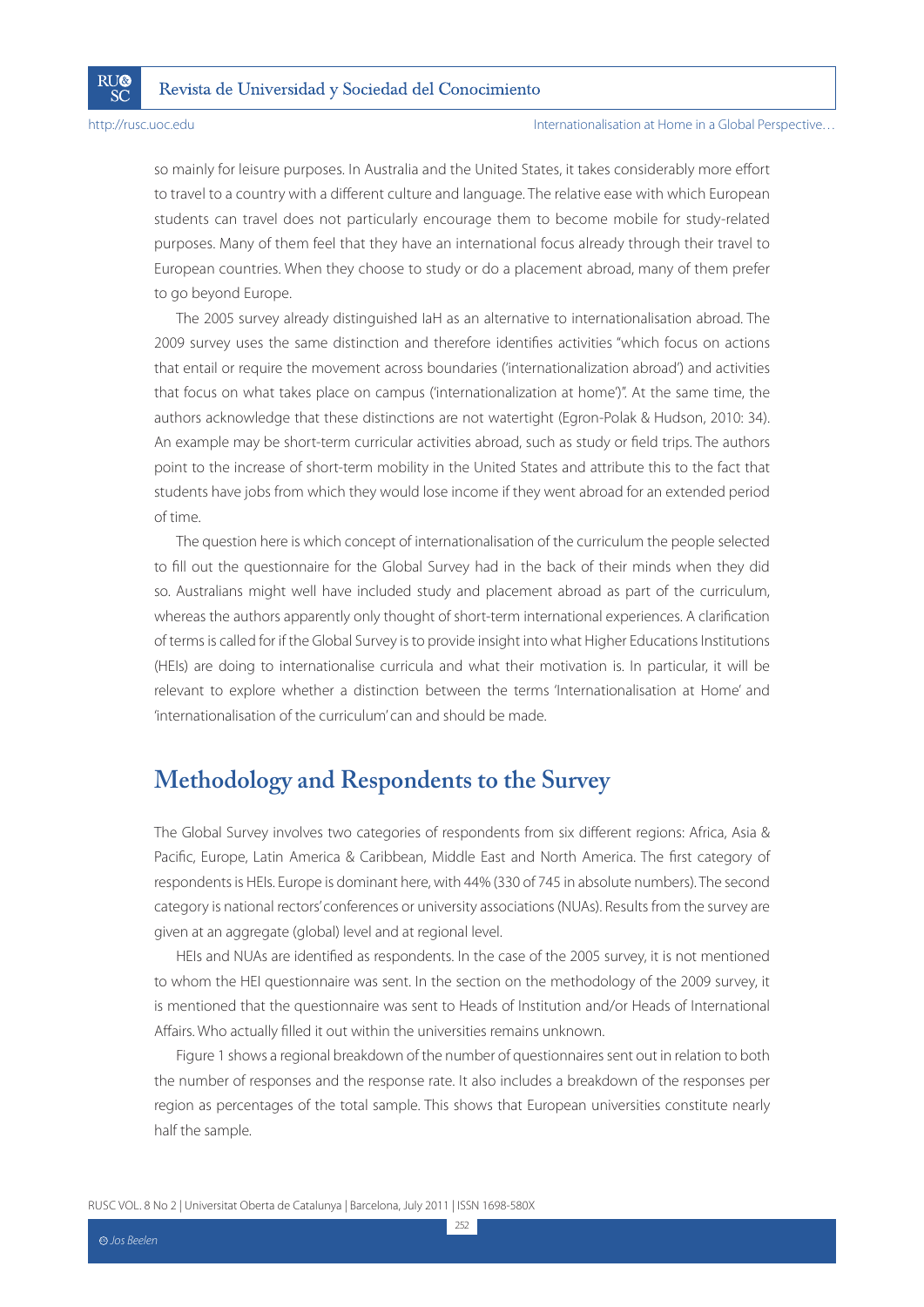**RU®** 

SČ

so mainly for leisure purposes. In Australia and the United States, it takes considerably more effort to travel to a country with a different culture and language. The relative ease with which European students can travel does not particularly encourage them to become mobile for study-related purposes. Many of them feel that they have an international focus already through their travel to European countries. When they choose to study or do a placement abroad, many of them prefer to go beyond Europe.

The 2005 survey already distinguished IaH as an alternative to internationalisation abroad. The 2009 survey uses the same distinction and therefore identifies activities "which focus on actions that entail or require the movement across boundaries ('internationalization abroad') and activities that focus on what takes place on campus ('internationalization at home')". At the same time, the authors acknowledge that these distinctions are not watertight (Egron-Polak & Hudson, 2010: 34). An example may be short-term curricular activities abroad, such as study or field trips. The authors point to the increase of short-term mobility in the United States and attribute this to the fact that students have jobs from which they would lose income if they went abroad for an extended period of time.

The question here is which concept of internationalisation of the curriculum the people selected to fill out the questionnaire for the Global Survey had in the back of their minds when they did so. Australians might well have included study and placement abroad as part of the curriculum, whereas the authors apparently only thought of short-term international experiences. A clarification of terms is called for if the Global Survey is to provide insight into what Higher Educations Institutions (HEIs) are doing to internationalise curricula and what their motivation is. In particular, it will be relevant to explore whether a distinction between the terms 'Internationalisation at Home' and 'internationalisation of the curriculum' can and should be made.

### **Methodology and Respondents to the Survey**

The Global Survey involves two categories of respondents from six different regions: Africa, Asia & Pacific, Europe, Latin America & Caribbean, Middle East and North America. The first category of respondents is HEIs. Europe is dominant here, with 44% (330 of 745 in absolute numbers). The second category is national rectors' conferences or university associations (NUAs). Results from the survey are given at an aggregate (global) level and at regional level.

HEIs and NUAs are identified as respondents. In the case of the 2005 survey, it is not mentioned to whom the HEI questionnaire was sent. In the section on the methodology of the 2009 survey, it is mentioned that the questionnaire was sent to Heads of Institution and/or Heads of International Affairs. Who actually filled it out within the universities remains unknown.

Figure 1 shows a regional breakdown of the number of questionnaires sent out in relation to both the number of responses and the response rate. It also includes a breakdown of the responses per region as percentages of the total sample. This shows that European universities constitute nearly half the sample.

RUSC VOL. 8 No 2 | Universitat Oberta de Catalunya | Barcelona, July 2011 | ISSN 1698-580X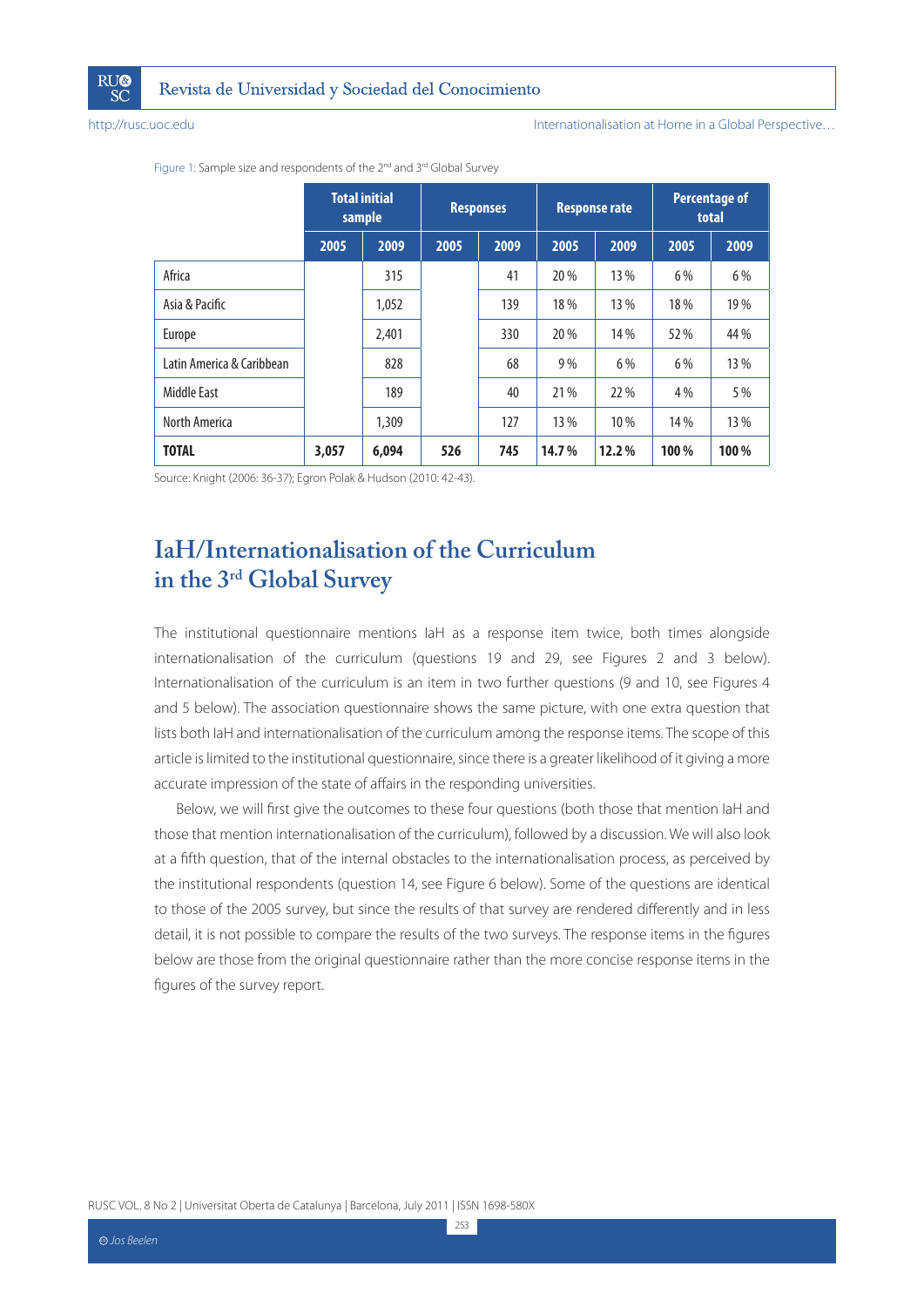

Internationalisation at Home in a Global Perspective…

|                           |       | <b>Total initial</b><br>sample |      | <b>Responses</b> |       | <b>Response rate</b> |      | <b>Percentage of</b><br>total |
|---------------------------|-------|--------------------------------|------|------------------|-------|----------------------|------|-------------------------------|
|                           | 2005  | 2009                           | 2005 | 2009             | 2005  | 2009                 | 2005 | 2009                          |
| Africa                    |       | 315                            |      | 41               | 20 %  | 13 %                 | 6 %  | 6 %                           |
| Asia & Pacific            |       | 1,052                          |      | 139              | 18%   | 13 %                 | 18%  | 19 %                          |
| Europe                    |       | 2,401                          |      | 330              | 20 %  | 14 %                 | 52 % | 44 %                          |
| Latin America & Caribbean |       | 828                            |      | 68               | 9%    | 6 %                  | 6 %  | 13 %                          |
| Middle East               |       | 189                            |      | 40               | 21 %  | 22 %                 | 4 %  | 5 %                           |
| North America             |       | 1,309                          |      | 127              | 13 %  | 10%                  | 14 % | 13 %                          |
| <b>TOTAL</b>              | 3,057 | 6,094                          | 526  | 745              | 14.7% | 12.2%                | 100% | 100 %                         |

Figure 1: Sample size and respondents of the 2<sup>nd</sup> and 3<sup>rd</sup> Global Survey

Source: Knight (2006: 36-37); Egron Polak & Hudson (2010: 42-43).

### **IaH/Internationalisation of the Curriculum in the 3rd Global Survey**

The institutional questionnaire mentions IaH as a response item twice, both times alongside internationalisation of the curriculum (questions 19 and 29, see Figures 2 and 3 below). Internationalisation of the curriculum is an item in two further questions (9 and 10, see Figures 4 and 5 below). The association questionnaire shows the same picture, with one extra question that lists both IaH and internationalisation of the curriculum among the response items. The scope of this article is limited to the institutional questionnaire, since there is a greater likelihood of it giving a more accurate impression of the state of affairs in the responding universities.

Below, we will first give the outcomes to these four questions (both those that mention IaH and those that mention internationalisation of the curriculum), followed by a discussion. We will also look at a fifth question, that of the internal obstacles to the internationalisation process, as perceived by the institutional respondents (question 14, see Figure 6 below). Some of the questions are identical to those of the 2005 survey, but since the results of that survey are rendered differently and in less detail, it is not possible to compare the results of the two surveys. The response items in the figures below are those from the original questionnaire rather than the more concise response items in the figures of the survey report.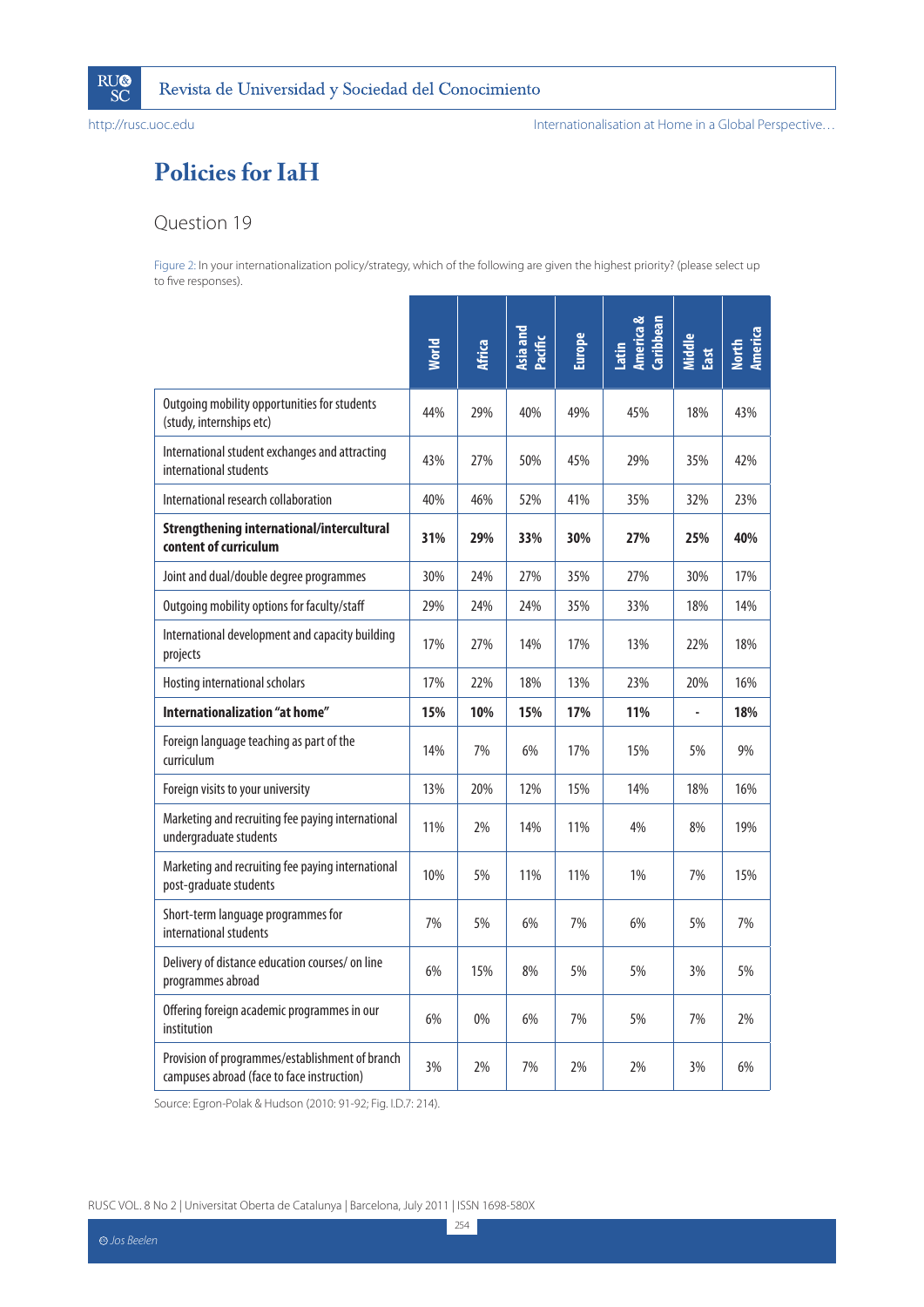

# **Policies for IaH**

### Question 19

Figure 2: In your internationalization policy/strategy, which of the following are given the highest priority? (please select up to five responses).

|                                                                                               | <b>Morld</b> | <b>Africa</b> | Asia and<br>Pacific | <b>Europe</b> | America &<br>Caribbean<br>Latin | Middle<br>East | North<br>America |
|-----------------------------------------------------------------------------------------------|--------------|---------------|---------------------|---------------|---------------------------------|----------------|------------------|
| Outgoing mobility opportunities for students<br>(study, internships etc)                      | 44%          | 29%           | 40%                 | 49%           | 45%                             | 18%            | 43%              |
| International student exchanges and attracting<br>international students                      | 43%          | 27%           | 50%                 | 45%           | 29%                             | 35%            | 42%              |
| International research collaboration                                                          | 40%          | 46%           | 52%                 | 41%           | 35%                             | 32%            | 23%              |
| <b>Strengthening international/intercultural</b><br>content of curriculum                     | 31%          | 29%           | 33%                 | 30%           | 27%                             | 25%            | 40%              |
| Joint and dual/double degree programmes                                                       | 30%          | 24%           | 27%                 | 35%           | 27%                             | 30%            | 17%              |
| Outgoing mobility options for faculty/staff                                                   | 29%          | 24%           | 24%                 | 35%           | 33%                             | 18%            | 14%              |
| International development and capacity building<br>projects                                   | 17%          | 27%           | 14%                 | 17%           | 13%                             | 22%            | 18%              |
| Hosting international scholars                                                                | 17%          | 22%           | 18%                 | 13%           | 23%                             | 20%            | 16%              |
| Internationalization "at home"                                                                | 15%          | 10%           | 15%                 | 17%           | 11%                             |                | 18%              |
| Foreign language teaching as part of the<br>curriculum                                        | 14%          | 7%            | 6%                  | 17%           | 15%                             | 5%             | 9%               |
| Foreign visits to your university                                                             | 13%          | 20%           | 12%                 | 15%           | 14%                             | 18%            | 16%              |
| Marketing and recruiting fee paying international<br>undergraduate students                   | 11%          | 2%            | 14%                 | 11%           | 4%                              | 8%             | 19%              |
| Marketing and recruiting fee paying international<br>post-graduate students                   | 10%          | 5%            | 11%                 | 11%           | 1%                              | 7%             | 15%              |
| Short-term language programmes for<br>international students                                  | 7%           | 5%            | 6%                  | 7%            | 6%                              | 5%             | 7%               |
| Delivery of distance education courses/ on line<br>programmes abroad                          | 6%           | 15%           | 8%                  | 5%            | 5%                              | 3%             | 5%               |
| Offering foreign academic programmes in our<br>institution                                    | 6%           | 0%            | 6%                  | 7%            | 5%                              | 7%             | 2%               |
| Provision of programmes/establishment of branch<br>campuses abroad (face to face instruction) | 3%           | 2%            | 7%                  | 2%            | 2%                              | 3%             | 6%               |

Source: Egron-Polak & Hudson (2010: 91-92; Fig. I.D.7: 214).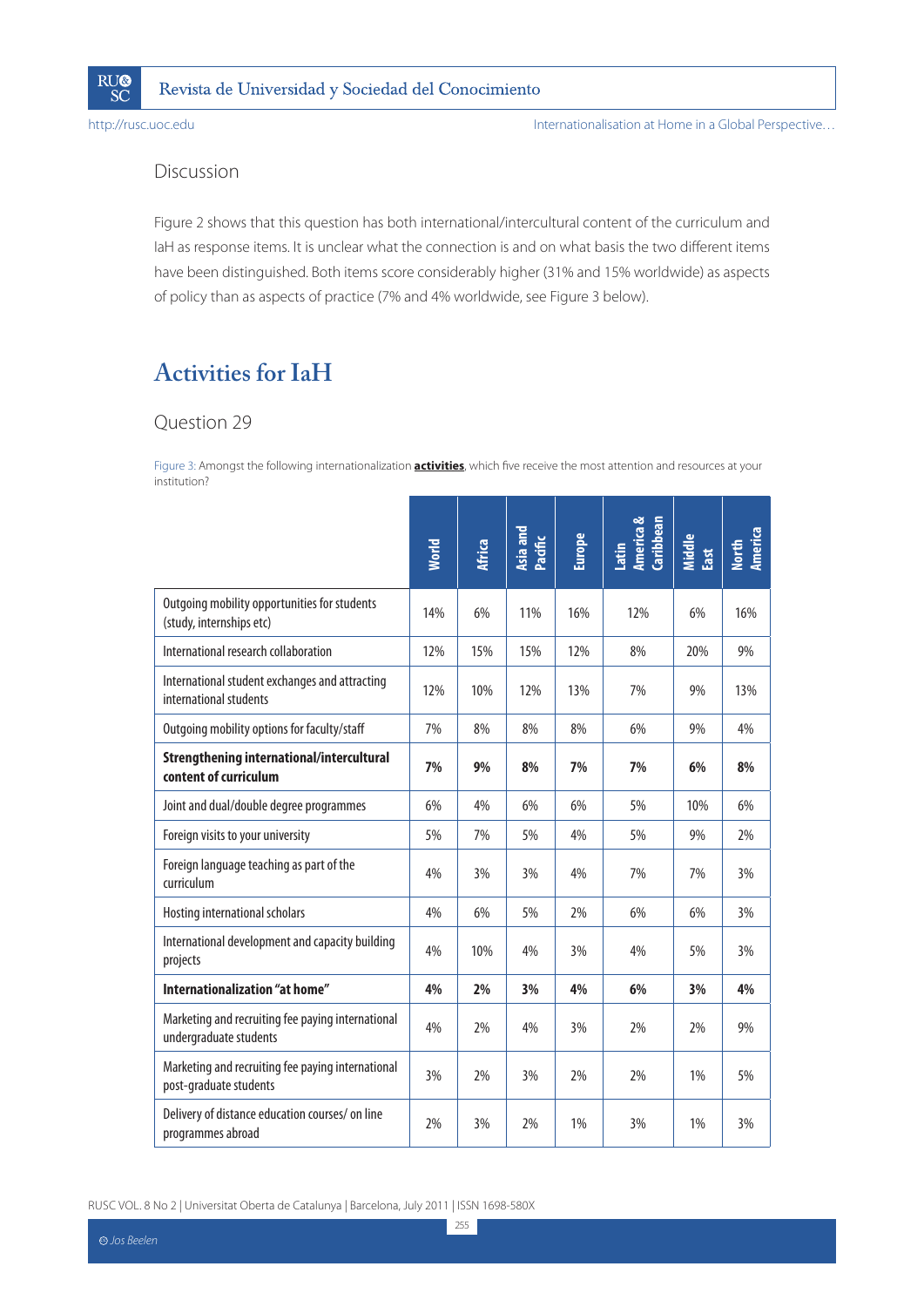

Revista de Universidad y Sociedad del Conocimiento

http://rusc.uoc.edu

### Discussion

Figure 2 shows that this question has both international/intercultural content of the curriculum and laH as response items. It is unclear what the connection is and on what basis the two different items have been distinguished. Both items score considerably higher (31% and 15% worldwide) as aspects of policy than as aspects of practice (7% and 4% worldwide, see Figure 3 below).

## **Activities for IaH**

### Question 29

Figure 3: Amongst the following internationalization **activities**, which five receive the most attention and resources at your institution?

|                                                                             | <b>World</b> | <b>Africa</b> | Asia and<br>Pacific | <b>Europe</b> | America &<br>Caribbean<br>Latin | Middle<br>East | North<br>America |
|-----------------------------------------------------------------------------|--------------|---------------|---------------------|---------------|---------------------------------|----------------|------------------|
| Outgoing mobility opportunities for students<br>(study, internships etc)    | 14%          | 6%            | 11%                 | 16%           | 12%                             | 6%             | 16%              |
| International research collaboration                                        | 12%          | 15%           | 15%                 | 12%           | 8%                              | 20%            | 9%               |
| International student exchanges and attracting<br>international students    | 12%          | 10%           | 12%                 | 13%           | 7%                              | 9%             | 13%              |
| Outgoing mobility options for faculty/staff                                 | 7%           | 8%            | 8%                  | 8%            | 6%                              | 9%             | 4%               |
| <b>Strengthening international/intercultural</b><br>content of curriculum   | 7%           | 9%            | 8%                  | 7%            | 7%                              | 6%             | 8%               |
| Joint and dual/double degree programmes                                     | 6%           | 4%            | 6%                  | 6%            | 5%                              | 10%            | 6%               |
| Foreign visits to your university                                           | 5%           | 7%            | 5%                  | 4%            | 5%                              | 9%             | 2%               |
| Foreign language teaching as part of the<br>curriculum                      | 4%           | 3%            | 3%                  | 4%            | 7%                              | 7%             | 3%               |
| Hosting international scholars                                              | 4%           | 6%            | 5%                  | 2%            | 6%                              | 6%             | 3%               |
| International development and capacity building<br>projects                 | 4%           | 10%           | 4%                  | 3%            | 4%                              | 5%             | 3%               |
| Internationalization "at home"                                              | 4%           | 2%            | 3%                  | 4%            | 6%                              | 3%             | 4%               |
| Marketing and recruiting fee paying international<br>undergraduate students | 4%           | 2%            | 4%                  | 3%            | 2%                              | 2%             | 9%               |
| Marketing and recruiting fee paying international<br>post-graduate students | 3%           | 2%            | 3%                  | 2%            | 2%                              | 1%             | 5%               |
| Delivery of distance education courses/ on line<br>programmes abroad        | 2%           | 3%            | 2%                  | 1%            | 3%                              | 1%             | 3%               |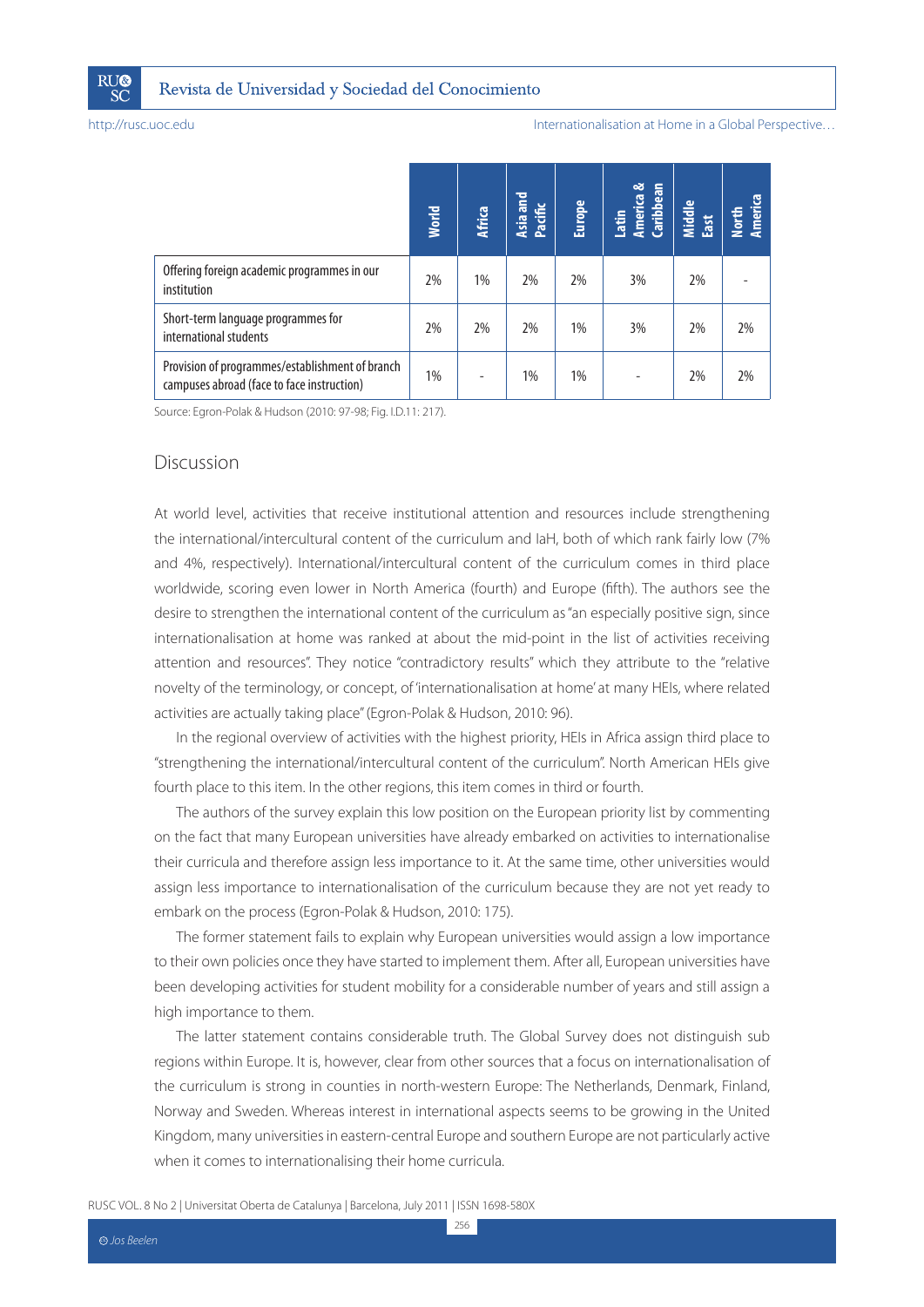

|                                                                                               | <b>World</b> | <b>Africa</b> | Asia and<br>Pacific | Europe | Latin<br>America &<br>Caribbean | Middle<br>East | North<br>America |
|-----------------------------------------------------------------------------------------------|--------------|---------------|---------------------|--------|---------------------------------|----------------|------------------|
| Offering foreign academic programmes in our<br>institution                                    | 2%           | 1%            | 2%                  | 2%     | 3%                              | 2%             |                  |
| Short-term language programmes for<br>international students                                  | 2%           | 2%            | 2%                  | $1\%$  | 3%                              | 2%             | 2%               |
| Provision of programmes/establishment of branch<br>campuses abroad (face to face instruction) | 1%           |               | 1%                  | $1\%$  |                                 | 2%             | 2%               |

Source: Egron-Polak & Hudson (2010: 97-98; Fig. I.D.11: 217).

#### Discussion

College The Cataloge The Cataloge The Cataloge The Cataloge Theorem and Number of Dentalisation of Dentalisation of Dentalisation of Dentalisation of Dentalisation of Dentalisation of Dentalisation of Dentalisation of Den At world level, activities that receive institutional attention and resources include strengthening the international/intercultural content of the curriculum and IaH, both of which rank fairly low (7% and 4%, respectively). International/intercultural content of the curriculum comes in third place worldwide, scoring even lower in North America (fourth) and Europe (fifth). The authors see the desire to strengthen the international content of the curriculum as "an especially positive sign, since internationalisation at home was ranked at about the mid-point in the list of activities receiving attention and resources". They notice "contradictory results" which they attribute to the "relative novelty of the terminology, or concept, of 'internationalisation at home' at many HEIs, where related activities are actually taking place" (Egron-Polak & Hudson, 2010: 96).

In the regional overview of activities with the highest priority, HEIs in Africa assign third place to "strengthening the international/intercultural content of the curriculum". North American HEIs give fourth place to this item. In the other regions, this item comes in third or fourth.

The authors of the survey explain this low position on the European priority list by commenting on the fact that many European universities have already embarked on activities to internationalise their curricula and therefore assign less importance to it. At the same time, other universities would assign less importance to internationalisation of the curriculum because they are not yet ready to embark on the process (Egron-Polak & Hudson, 2010: 175).

The former statement fails to explain why European universities would assign a low importance to their own policies once they have started to implement them. After all, European universities have been developing activities for student mobility for a considerable number of years and still assign a high importance to them.

The latter statement contains considerable truth. The Global Survey does not distinguish sub regions within Europe. It is, however, clear from other sources that a focus on internationalisation of the curriculum is strong in counties in north-western Europe: The Netherlands, Denmark, Finland, Norway and Sweden. Whereas interest in international aspects seems to be growing in the United Kingdom, many universities in eastern-central Europe and southern Europe are not particularly active when it comes to internationalising their home curricula.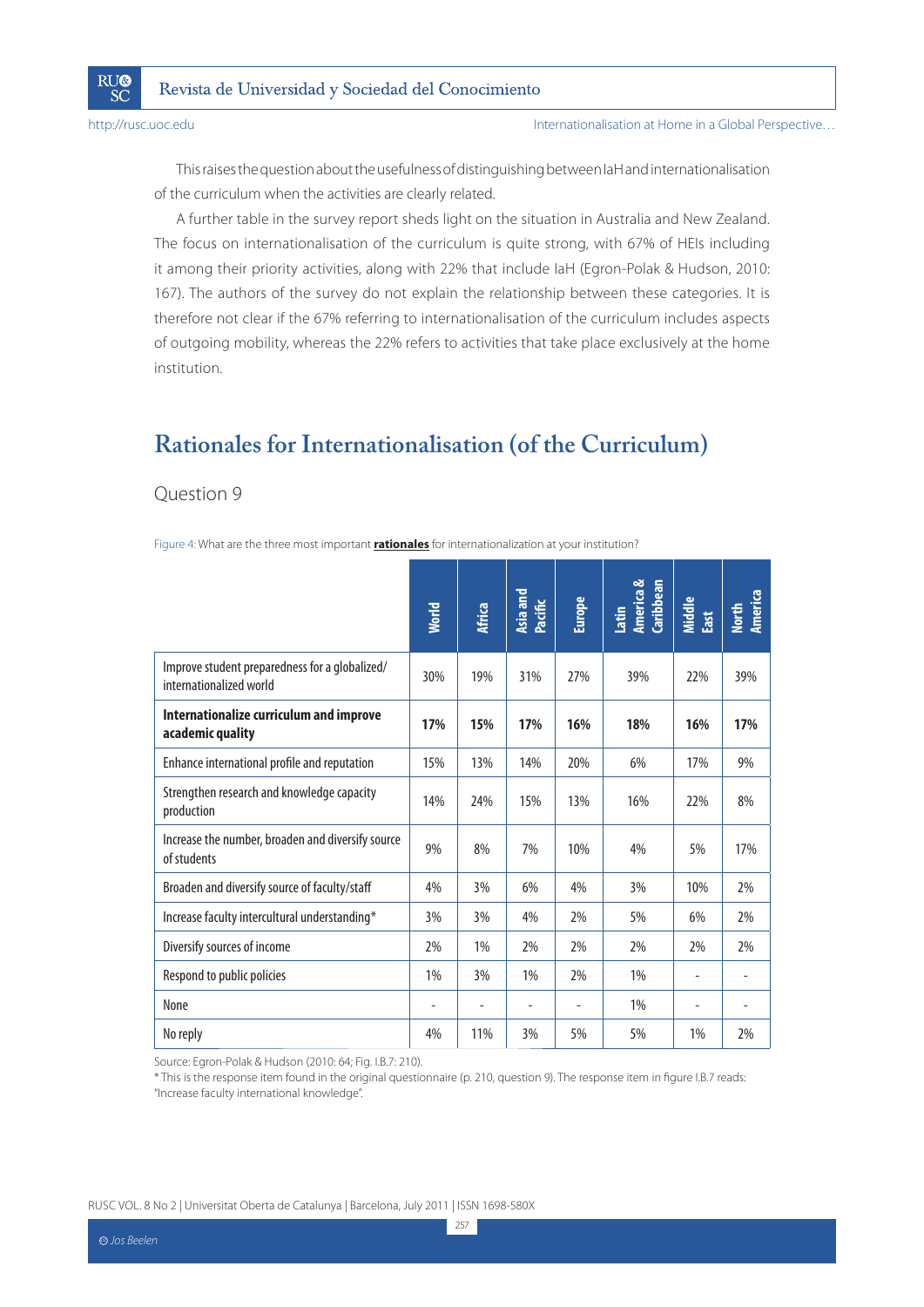**RU®** 

SČ

This raises the question about the usefulness of distinguishing between IaH and internationalisation of the curriculum when the activities are clearly related.

A further table in the survey report sheds light on the situation in Australia and New Zealand. The focus on internationalisation of the curriculum is quite strong, with 67% of HEIs including it among their priority activities, along with 22% that include IaH (Egron-Polak & Hudson, 2010: 167). The authors of the survey do not explain the relationship between these categories. It is therefore not clear if the 67% referring to internationalisation of the curriculum includes aspects of outgoing mobility, whereas the 22% refers to activities that take place exclusively at the home institution.

### **Rationales for Internationalisation (of the Curriculum)**

### Question 9

Figure 4: What are the three most important **rationales** for internationalization at your institution?

|                                                                           | <b>World</b> | <b>Africa</b> | Asia and<br>Pacific | <b>Europe</b> | America &<br><b>Caribbean</b><br>Latin | Middle<br>East | America<br><b>North</b>  |
|---------------------------------------------------------------------------|--------------|---------------|---------------------|---------------|----------------------------------------|----------------|--------------------------|
| Improve student preparedness for a globalized/<br>internationalized world | 30%          | 19%           | 31%                 | 27%           | 39%                                    | 22%            | 39%                      |
| Internationalize curriculum and improve<br>academic quality               | 17%          | 15%           | 17%                 | 16%           | 18%                                    | 16%            | 17%                      |
| Enhance international profile and reputation                              | 15%          | 13%           | 14%                 | 20%           | 6%                                     | 17%            | 9%                       |
| Strengthen research and knowledge capacity<br>production                  | 14%          | 24%           | 15%                 | 13%           | 16%                                    | 22%            | 8%                       |
| Increase the number, broaden and diversify source<br>of students          | 9%           | 8%            | 7%                  | 10%           | 4%                                     | 5%             | 17%                      |
| Broaden and diversify source of faculty/staff                             | 4%           | 3%            | 6%                  | 4%            | 3%                                     | 10%            | 2%                       |
| Increase faculty intercultural understanding*                             | 3%           | 3%            | 4%                  | 2%            | 5%                                     | 6%             | 2%                       |
| Diversify sources of income                                               | 2%           | 1%            | 2%                  | 2%            | 2%                                     | 2%             | 2%                       |
| Respond to public policies                                                | 1%           | 3%            | 1%                  | 2%            | 1%                                     |                |                          |
| None                                                                      | ۰            |               |                     | ۰             | 1%                                     |                | $\overline{\phantom{a}}$ |
| No reply                                                                  | 4%           | 11%           | 3%                  | 5%            | 5%                                     | 1%             | 2%                       |

Source: Egron-Polak & Hudson (2010: 64; Fig. I.B.7: 210).

\* This is the response item found in the original questionnaire (p. 210, question 9). The response item in figure I.B.7 reads: "Increase faculty international knowledge".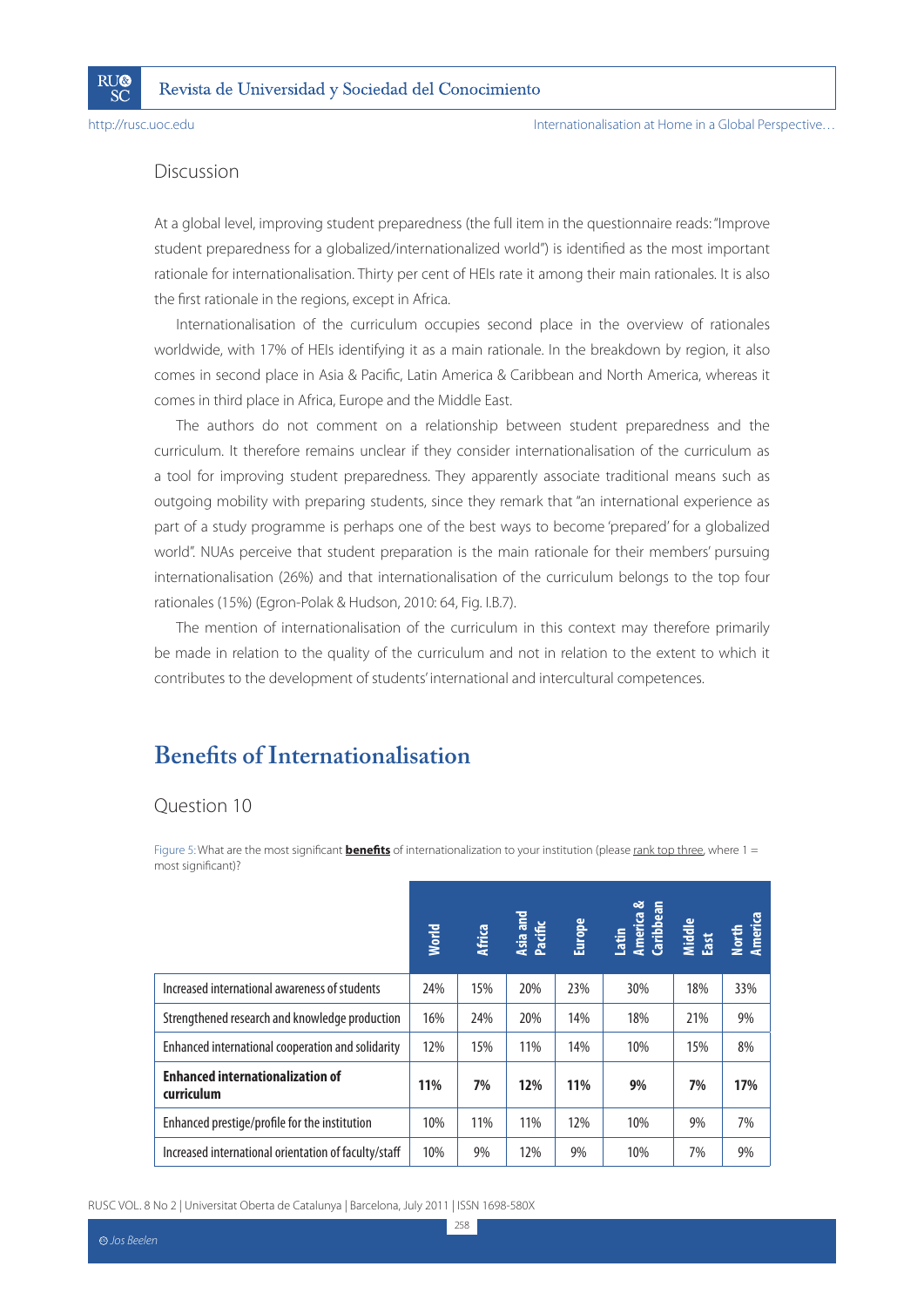**RI**I®

SČ

### Discussion

At a global level, improving student preparedness (the full item in the questionnaire reads: "Improve student preparedness for a globalized/internationalized world") is identified as the most important rationale for internationalisation. Thirty per cent of HEIs rate it among their main rationales. It is also the first rationale in the regions, except in Africa.

Internationalisation of the curriculum occupies second place in the overview of rationales worldwide, with 17% of HEIs identifying it as a main rationale. In the breakdown by region, it also comes in second place in Asia & Pacific, Latin America & Caribbean and North America, whereas it comes in third place in Africa, Europe and the Middle East.

The authors do not comment on a relationship between student preparedness and the curriculum. It therefore remains unclear if they consider internationalisation of the curriculum as a tool for improving student preparedness. They apparently associate traditional means such as outgoing mobility with preparing students, since they remark that "an international experience as part of a study programme is perhaps one of the best ways to become 'prepared' for a globalized world". NUAs perceive that student preparation is the main rationale for their members' pursuing internationalisation (26%) and that internationalisation of the curriculum belongs to the top four rationales (15%) (Egron-Polak & Hudson, 2010: 64, Fig. I.B.7).

The mention of internationalisation of the curriculum in this context may therefore primarily be made in relation to the quality of the curriculum and not in relation to the extent to which it contributes to the development of students' international and intercultural competences.

### **Benefits of Internationalisation**

### Question 10

Figure 5: What are the most significant **benefits** of internationalization to your institution (please rank top three, where 1 = most significant)?

|                                                       | <b>World</b> | <b>Africa</b> | Asia and<br>Pacific | Europe | Latin<br>America &<br>Caribbean<br>Middle<br>East<br>Nmerica |     |     |
|-------------------------------------------------------|--------------|---------------|---------------------|--------|--------------------------------------------------------------|-----|-----|
| Increased international awareness of students         | 24%          | 15%           | 20%                 | 23%    | 30%                                                          | 18% | 33% |
| Strengthened research and knowledge production        | 16%          | 24%           | 20%                 | 14%    | 18%                                                          | 21% | 9%  |
| Enhanced international cooperation and solidarity     | 12%          | 15%           | 11%                 | 14%    | 10%                                                          | 15% | 8%  |
| <b>Enhanced internationalization of</b><br>curriculum | 11%          | 7%            | 12%                 | 11%    | 9%                                                           | 7%  | 17% |
| Enhanced prestige/profile for the institution         | 10%          | 11%           | 11%                 | 12%    | 10%                                                          | 9%  | 7%  |
| Increased international orientation of faculty/staff  | 10%          | 9%            | 12%                 | 9%     | 10%                                                          | 7%  | 9%  |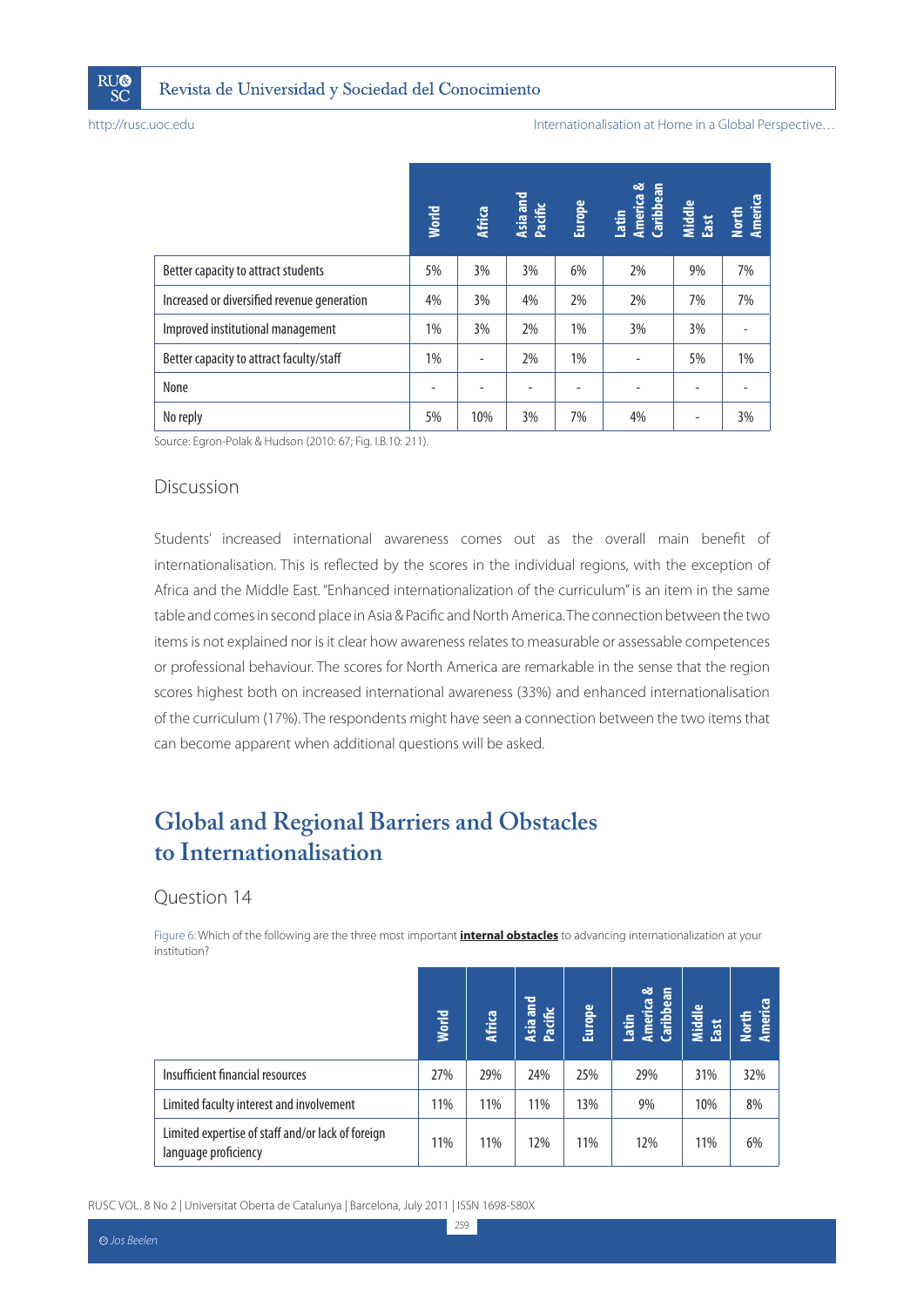

|                                                                                                                                                                                                                                                                                                                                                                                                                                                                                                                                                                                                                                                                                                                                                                                                                                                | <b>World</b>   | <b>Africa</b>            | Asia and<br>Pacific | Europe        | Latin<br>America &<br>Caribbean | Middle<br>East               |
|------------------------------------------------------------------------------------------------------------------------------------------------------------------------------------------------------------------------------------------------------------------------------------------------------------------------------------------------------------------------------------------------------------------------------------------------------------------------------------------------------------------------------------------------------------------------------------------------------------------------------------------------------------------------------------------------------------------------------------------------------------------------------------------------------------------------------------------------|----------------|--------------------------|---------------------|---------------|---------------------------------|------------------------------|
| Better capacity to attract students                                                                                                                                                                                                                                                                                                                                                                                                                                                                                                                                                                                                                                                                                                                                                                                                            | 5%             | 3%                       | 3%                  | 6%            | 2%                              | 9%                           |
| Increased or diversified revenue generation                                                                                                                                                                                                                                                                                                                                                                                                                                                                                                                                                                                                                                                                                                                                                                                                    | 4%             | 3%                       | 4%                  | 2%            | 2%                              | 7%                           |
| Improved institutional management                                                                                                                                                                                                                                                                                                                                                                                                                                                                                                                                                                                                                                                                                                                                                                                                              | 1%             | 3%                       | 2%                  | 1%            | 3%                              | 3%                           |
| Better capacity to attract faculty/staff                                                                                                                                                                                                                                                                                                                                                                                                                                                                                                                                                                                                                                                                                                                                                                                                       | 1%             | $\overline{\phantom{a}}$ | 2%                  | 1%            | $\overline{\phantom{m}}$        | 5%                           |
| None                                                                                                                                                                                                                                                                                                                                                                                                                                                                                                                                                                                                                                                                                                                                                                                                                                           | $\overline{a}$ |                          |                     |               |                                 |                              |
| No reply                                                                                                                                                                                                                                                                                                                                                                                                                                                                                                                                                                                                                                                                                                                                                                                                                                       | 5%             | 10%                      | 3%                  | 7%            | 4%                              | $\overline{a}$               |
|                                                                                                                                                                                                                                                                                                                                                                                                                                                                                                                                                                                                                                                                                                                                                                                                                                                |                |                          |                     |               |                                 |                              |
| table and comes in second place in Asia & Pacific and North America. The connection between the two<br>items is not explained nor is it clear how awareness relates to measurable or assessable competences<br>or professional behaviour. The scores for North America are remarkable in the sense that the region<br>scores highest both on increased international awareness (33%) and enhanced internationalisation<br>of the curriculum (17%). The respondents might have seen a connection between the two items that<br>can become apparent when additional questions will be asked.<br><b>Global and Regional Barriers and Obstacles</b><br>to Internationalisation<br>Question 14<br>Figure 6: Which of the following are the three most important <i>internal obstacles</i> to advancing internationalization at your<br>institution? |                |                          |                     |               |                                 |                              |
|                                                                                                                                                                                                                                                                                                                                                                                                                                                                                                                                                                                                                                                                                                                                                                                                                                                | <b>World</b>   | <b>Africa</b>            | Asia and<br>Pacific | <b>Europe</b> | Latin<br>America &<br>Caribbean |                              |
| Insufficient financial resources                                                                                                                                                                                                                                                                                                                                                                                                                                                                                                                                                                                                                                                                                                                                                                                                               | 27%            | 29%                      | 24%                 | 25%           | 29%                             |                              |
| Limited faculty interest and involvement                                                                                                                                                                                                                                                                                                                                                                                                                                                                                                                                                                                                                                                                                                                                                                                                       | 11%            | 11%                      | 11%                 | 13%           | 9%                              | Middle<br>East<br>31%<br>10% |

#### Discussion

### **Global and Regional Barriers and Obstacles to Internationalisation**

#### Question 14

|                                                                           | <b>World</b> | <b>Africa</b> | and<br>Pacific<br>Asia | <b>Europe</b> | ಎ<br>Caribbean<br>America<br>Latin | Middle<br>East | North<br>America |
|---------------------------------------------------------------------------|--------------|---------------|------------------------|---------------|------------------------------------|----------------|------------------|
| Insufficient financial resources                                          | 27%          | 29%           | 24%                    | 25%           | 29%                                | 31%            | 32%              |
| Limited faculty interest and involvement                                  | 11%          | 11%           | 11%                    | 13%           | 9%                                 | 10%            | 8%               |
| Limited expertise of staff and/or lack of foreign<br>language proficiency | 11%          | 11%           | 12%                    | 11%           | 12%                                | 11%            | 6%               |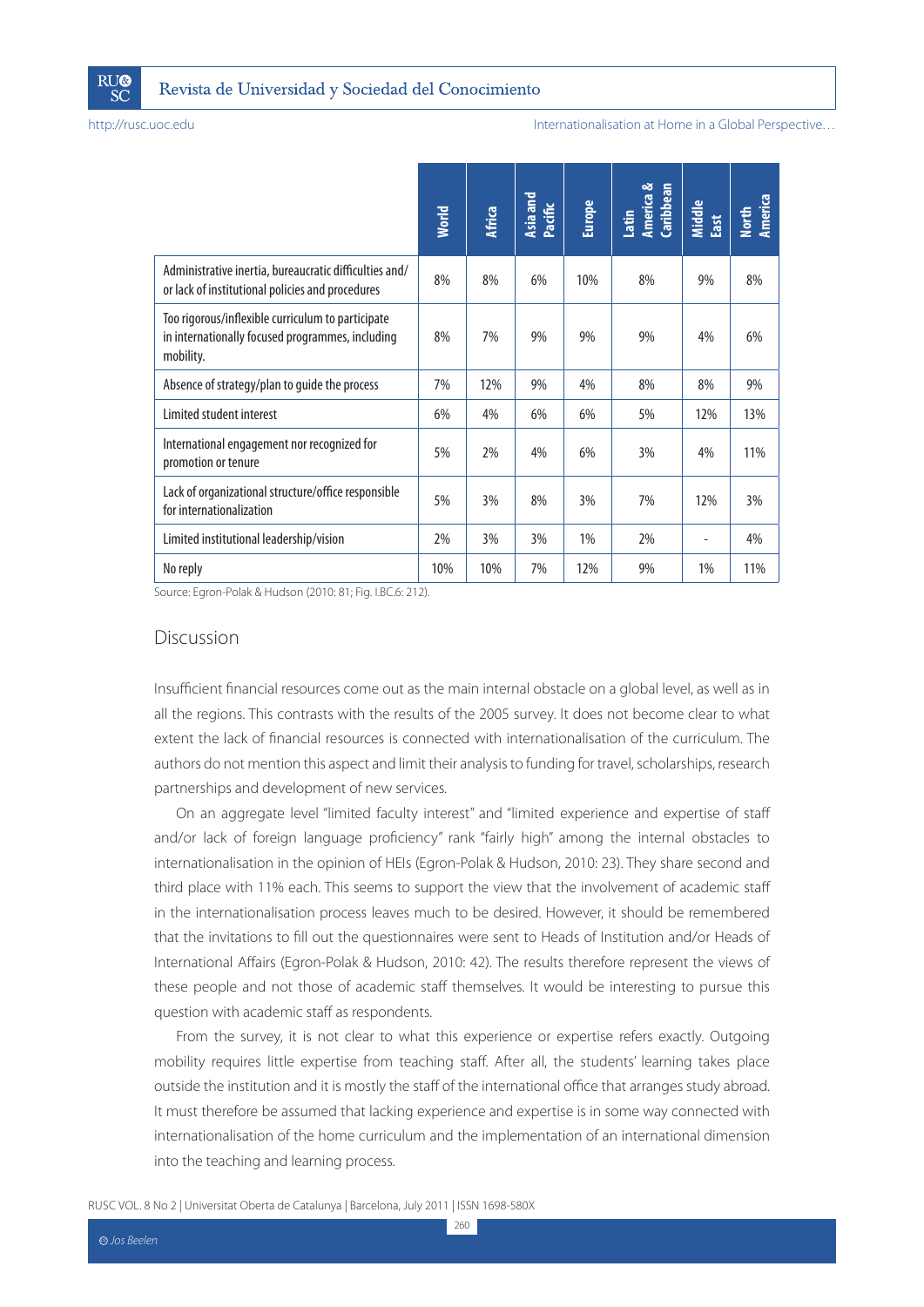

#### Internationalisation at Home in a Global Perspective…

|                                                                                                                                                                                                                                                                                                                                                                                                                                                                                                                                                                                  | <b>World</b> | <b>Africa</b> | Asia and<br>Pacific | <b>Europe</b> | America &<br>Caribbean<br>Latin | Middle<br>East | America<br><b>North</b> |
|----------------------------------------------------------------------------------------------------------------------------------------------------------------------------------------------------------------------------------------------------------------------------------------------------------------------------------------------------------------------------------------------------------------------------------------------------------------------------------------------------------------------------------------------------------------------------------|--------------|---------------|---------------------|---------------|---------------------------------|----------------|-------------------------|
| Administrative inertia, bureaucratic difficulties and/<br>or lack of institutional policies and procedures                                                                                                                                                                                                                                                                                                                                                                                                                                                                       | 8%           | 8%            | 6%                  | 10%           | 8%                              | 9%             | 8%                      |
| Too rigorous/inflexible curriculum to participate<br>in internationally focused programmes, including<br>mobility.                                                                                                                                                                                                                                                                                                                                                                                                                                                               | 8%           | 7%            | 9%                  | 9%            | 9%                              | 4%             | 6%                      |
| Absence of strategy/plan to guide the process                                                                                                                                                                                                                                                                                                                                                                                                                                                                                                                                    | 7%           | 12%           | 9%                  | 4%            | 8%                              | 8%             | 9%                      |
| Limited student interest                                                                                                                                                                                                                                                                                                                                                                                                                                                                                                                                                         | 6%           | 4%            | 6%                  | 6%            | 5%                              | 12%            | 13%                     |
| International engagement nor recognized for<br>promotion or tenure                                                                                                                                                                                                                                                                                                                                                                                                                                                                                                               | 5%           | 2%            | 4%                  | 6%            | 3%                              | 4%             | 11%                     |
| Lack of organizational structure/office responsible<br>for internationalization                                                                                                                                                                                                                                                                                                                                                                                                                                                                                                  | 5%           | 3%            | 8%                  | 3%            | 7%                              | 12%            | 3%                      |
| Limited institutional leadership/vision                                                                                                                                                                                                                                                                                                                                                                                                                                                                                                                                          | 2%           | 3%            | 3%                  | 1%            | 2%                              |                | 4%                      |
| No reply                                                                                                                                                                                                                                                                                                                                                                                                                                                                                                                                                                         | 10%          | 10%           | 7%                  | 12%           | 9%                              | 1%             | 11%                     |
| Discussion<br>Insufficient financial resources come out as the main internal obstacle on a global level, as well as in<br>all the regions. This contrasts with the results of the 2005 survey. It does not become clear to what                                                                                                                                                                                                                                                                                                                                                  |              |               |                     |               |                                 |                |                         |
| On an aggregate level "limited faculty interest" and "limited experience and expertise of staff                                                                                                                                                                                                                                                                                                                                                                                                                                                                                  |              |               |                     |               |                                 |                |                         |
| extent the lack of financial resources is connected with internationalisation of the curriculum. The<br>authors do not mention this aspect and limit their analysis to funding for travel, scholarships, research<br>partnerships and development of new services.<br>and/or lack of foreign language proficiency" rank "fairly high" among the internal obstacles to<br>internationalisation in the opinion of HEIs (Egron-Polak & Hudson, 2010: 23). They share second and<br>third place with 11% each. This seems to support the view that the involvement of academic staff |              |               |                     |               |                                 |                |                         |
| in the internationalisation process leaves much to be desired. However, it should be remembered<br>that the invitations to fill out the questionnaires were sent to Heads of Institution and/or Heads of<br>International Affairs (Egron-Polak & Hudson, 2010: 42). The results therefore represent the views of<br>these people and not those of academic staff themselves. It would be interesting to pursue this<br>question with academic staff as respondents.                                                                                                              |              |               |                     |               |                                 |                |                         |

### Discussion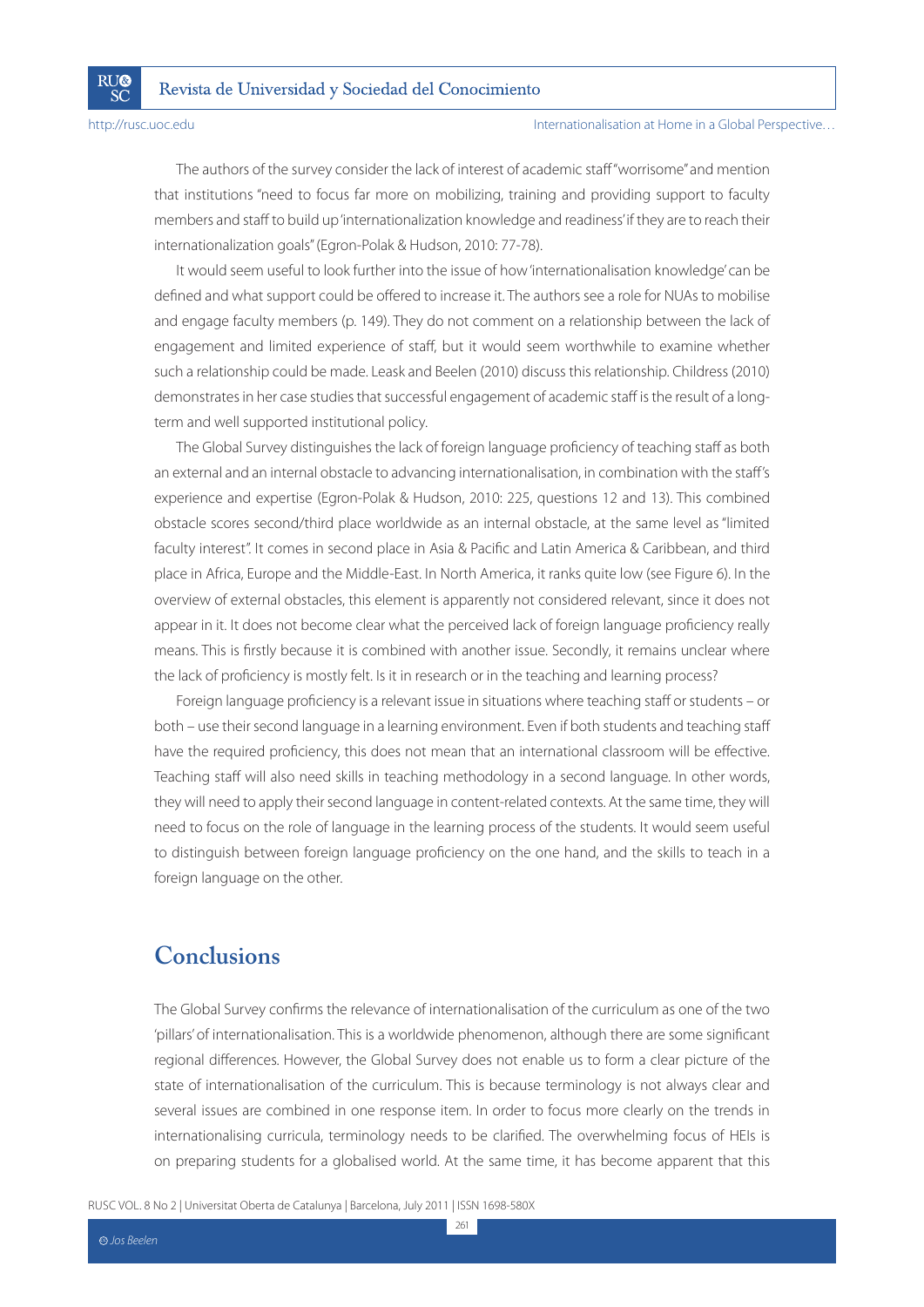**RI**I®

SČ

#### Internationalisation at Home in a Global Perspective…

The authors of the survey consider the lack of interest of academic staff "worrisome" and mention that institutions "need to focus far more on mobilizing, training and providing support to faculty members and staff to build up 'internationalization knowledge and readiness' if they are to reach their internationalization goals" (Egron-Polak & Hudson, 2010: 77-78).

It would seem useful to look further into the issue of how 'internationalisation knowledge' can be defined and what support could be offered to increase it. The authors see a role for NUAs to mobilise and engage faculty members (p. 149). They do not comment on a relationship between the lack of engagement and limited experience of staff, but it would seem worthwhile to examine whether such a relationship could be made. Leask and Beelen (2010) discuss this relationship. Childress (2010) demonstrates in her case studies that successful engagement of academic staff is the result of a longterm and well supported institutional policy.

The Global Survey distinguishes the lack of foreign language proficiency of teaching staff as both an external and an internal obstacle to advancing internationalisation, in combination with the staff's experience and expertise (Egron-Polak & Hudson, 2010: 225, questions 12 and 13). This combined obstacle scores second/third place worldwide as an internal obstacle, at the same level as "limited faculty interest". It comes in second place in Asia & Pacific and Latin America & Caribbean, and third place in Africa, Europe and the Middle-East. In North America, it ranks quite low (see Figure 6). In the overview of external obstacles, this element is apparently not considered relevant, since it does not appear in it. It does not become clear what the perceived lack of foreign language proficiency really means. This is firstly because it is combined with another issue. Secondly, it remains unclear where the lack of proficiency is mostly felt. Is it in research or in the teaching and learning process?

Foreign language proficiency is a relevant issue in situations where teaching staff or students – or both – use their second language in a learning environment. Even if both students and teaching staff have the required proficiency, this does not mean that an international classroom will be effective. Teaching staff will also need skills in teaching methodology in a second language. In other words, they will need to apply their second language in content-related contexts. At the same time, they will need to focus on the role of language in the learning process of the students. It would seem useful to distinguish between foreign language proficiency on the one hand, and the skills to teach in a foreign language on the other.

### **Conclusions**

The Global Survey confirms the relevance of internationalisation of the curriculum as one of the two 'pillars' of internationalisation. This is a worldwide phenomenon, although there are some significant regional differences. However, the Global Survey does not enable us to form a clear picture of the state of internationalisation of the curriculum. This is because terminology is not always clear and several issues are combined in one response item. In order to focus more clearly on the trends in internationalising curricula, terminology needs to be clarified. The overwhelming focus of HEIs is on preparing students for a globalised world. At the same time, it has become apparent that this

RUSC VOL. 8 No 2 | Universitat Oberta de Catalunya | Barcelona, July 2011 | ISSN 1698-580X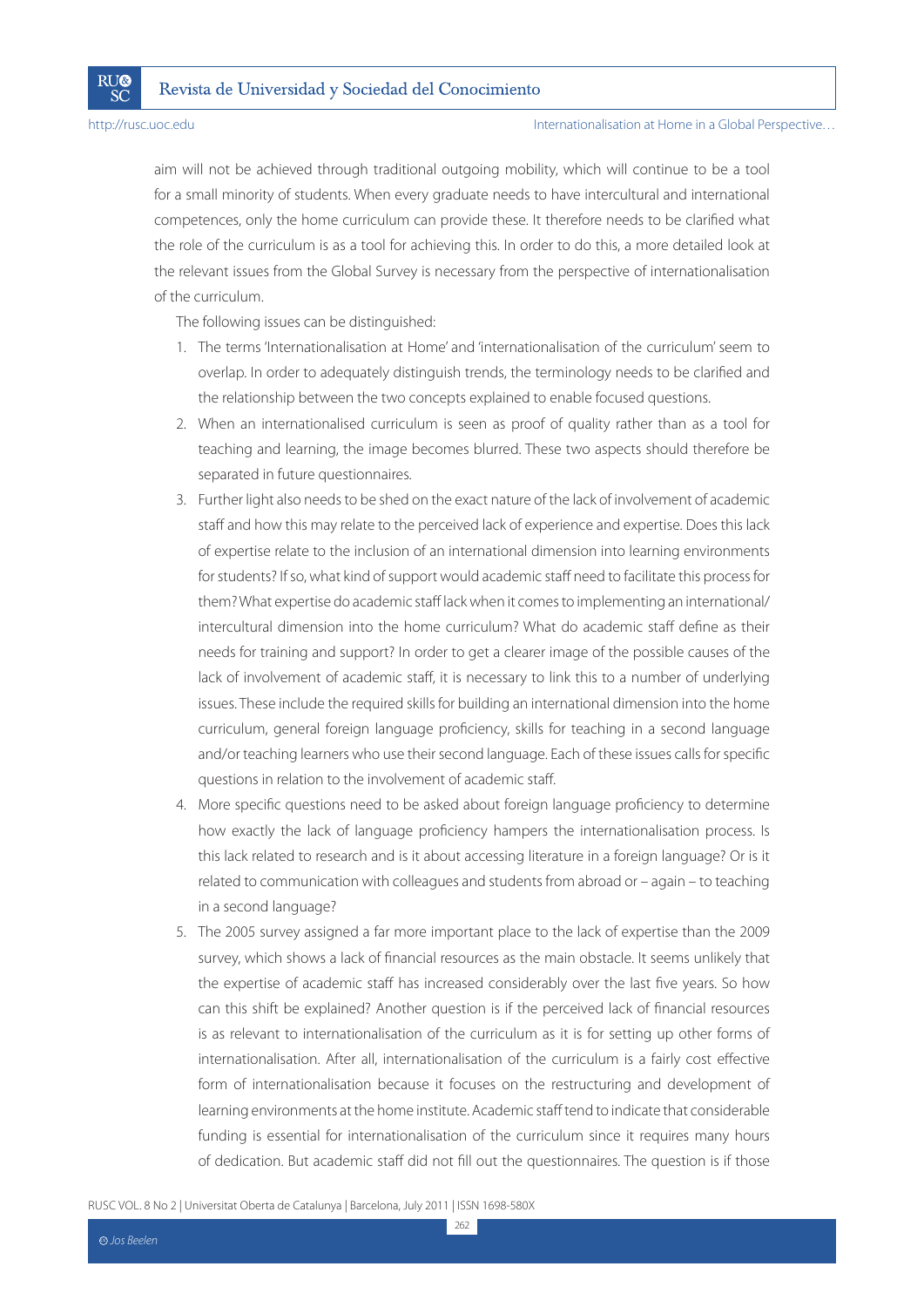**RU®** 

SČ

aim will not be achieved through traditional outgoing mobility, which will continue to be a tool for a small minority of students. When every graduate needs to have intercultural and international competences, only the home curriculum can provide these. It therefore needs to be clarified what the role of the curriculum is as a tool for achieving this. In order to do this, a more detailed look at the relevant issues from the Global Survey is necessary from the perspective of internationalisation of the curriculum.

The following issues can be distinguished:

- 1. The terms 'Internationalisation at Home' and 'internationalisation of the curriculum' seem to overlap. In order to adequately distinguish trends, the terminology needs to be clarified and the relationship between the two concepts explained to enable focused questions.
- 2. When an internationalised curriculum is seen as proof of quality rather than as a tool for teaching and learning, the image becomes blurred. These two aspects should therefore be separated in future questionnaires.
- 3. Further light also needs to be shed on the exact nature of the lack of involvement of academic staff and how this may relate to the perceived lack of experience and expertise. Does this lack of expertise relate to the inclusion of an international dimension into learning environments for students? If so, what kind of support would academic staff need to facilitate this process for them? What expertise do academic staff lack when it comes to implementing an international/ intercultural dimension into the home curriculum? What do academic staff define as their needs for training and support? In order to get a clearer image of the possible causes of the lack of involvement of academic staff, it is necessary to link this to a number of underlying issues. These include the required skills for building an international dimension into the home curriculum, general foreign language proficiency, skills for teaching in a second language and/or teaching learners who use their second language. Each of these issues calls for specific questions in relation to the involvement of academic staff.
- 4. More specific questions need to be asked about foreign language proficiency to determine how exactly the lack of language proficiency hampers the internationalisation process. Is this lack related to research and is it about accessing literature in a foreign language? Or is it related to communication with colleagues and students from abroad or – again – to teaching in a second language?
- 5. The 2005 survey assigned a far more important place to the lack of expertise than the 2009 survey, which shows a lack of financial resources as the main obstacle. It seems unlikely that the expertise of academic staff has increased considerably over the last five years. So how can this shift be explained? Another question is if the perceived lack of financial resources is as relevant to internationalisation of the curriculum as it is for setting up other forms of internationalisation. After all, internationalisation of the curriculum is a fairly cost effective form of internationalisation because it focuses on the restructuring and development of learning environments at the home institute. Academic staff tend to indicate that considerable funding is essential for internationalisation of the curriculum since it requires many hours of dedication. But academic staff did not fill out the questionnaires. The question is if those

RUSC VOL. 8 No 2 | Universitat Oberta de Catalunya | Barcelona, July 2011 | ISSN 1698-580X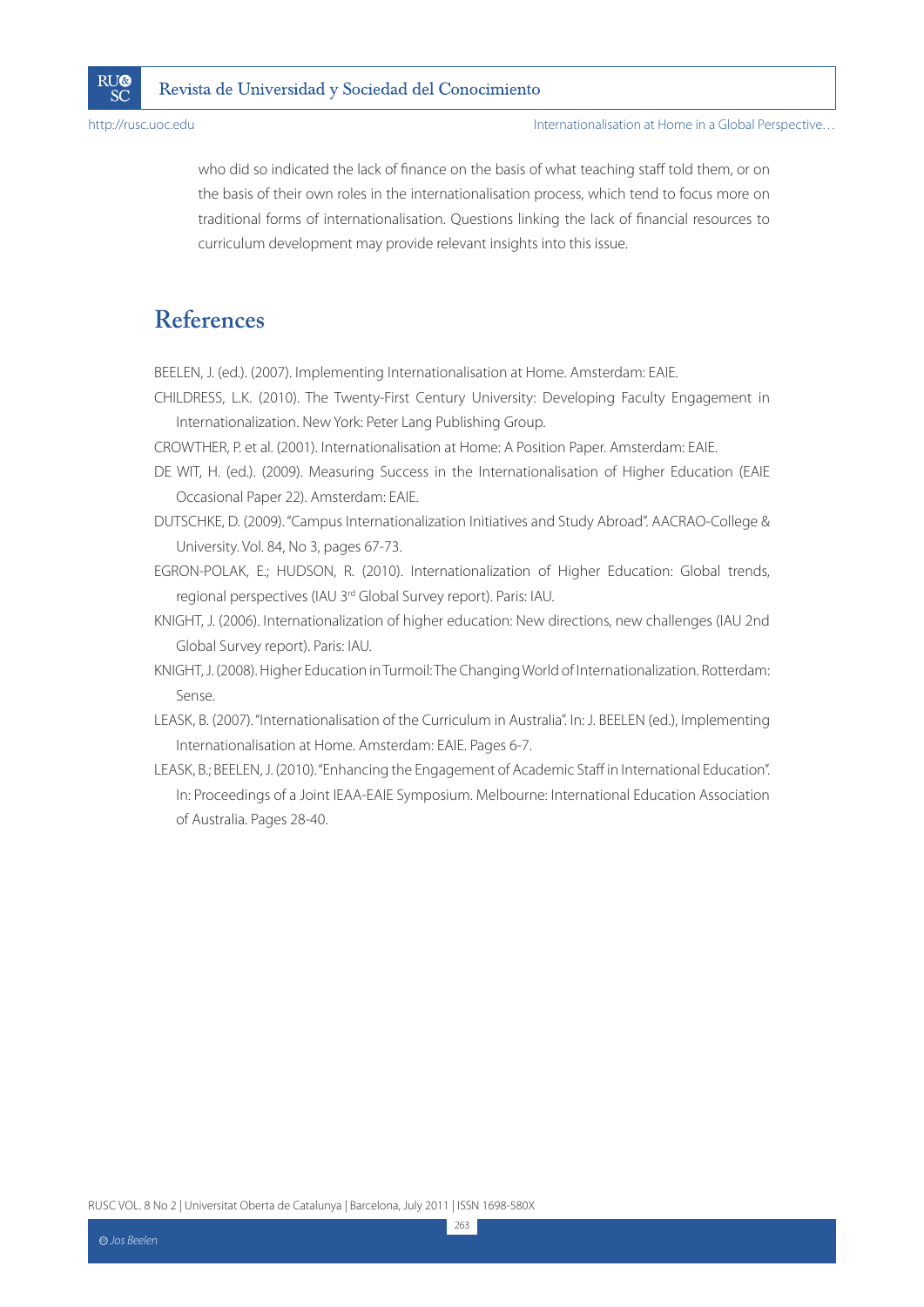

Internationalisation at Home in a Global Perspective…

who did so indicated the lack of finance on the basis of what teaching staff told them, or on the basis of their own roles in the internationalisation process, which tend to focus more on traditional forms of internationalisation. Questions linking the lack of financial resources to curriculum development may provide relevant insights into this issue.

### **References**

BEELEN, J. (ed.). (2007). Implementing Internationalisation at Home. Amsterdam: EAIE.

CHILDRESS, L.K. (2010). The Twenty-First Century University: Developing Faculty Engagement in Internationalization. New York: Peter Lang Publishing Group.

CROWTHER, P. et al. (2001). Internationalisation at Home: A Position Paper. Amsterdam: EAIE.

- DE WIT, H. (ed.). (2009). Measuring Success in the Internationalisation of Higher Education (EAIE Occasional Paper 22). Amsterdam: EAIE.
- DUTSCHKE, D. (2009). "Campus Internationalization Initiatives and Study Abroad". AACRAO-College & University. Vol. 84, No 3, pages 67-73.
- EGRON-POLAK, E.; HUDSON, R. (2010). Internationalization of Higher Education: Global trends, regional perspectives (IAU 3rd Global Survey report). Paris: IAU.
- KNIGHT, J. (2006). Internationalization of higher education: New directions, new challenges (IAU 2nd Global Survey report). Paris: IAU.
- KNIGHT, J. (2008). Higher Education in Turmoil: The Changing World of Internationalization. Rotterdam: Sense.
- LEASK, B. (2007). "Internationalisation of the Curriculum in Australia". In: J. BEELEN (ed.), Implementing Internationalisation at Home. Amsterdam: EAIE. Pages 6-7.
- LEASK, B.; BEELEN, J. (2010). "Enhancing the Engagement of Academic Staff in International Education". In: Proceedings of a Joint IEAA-EAIE Symposium. Melbourne: International Education Association of Australia. Pages 28-40.